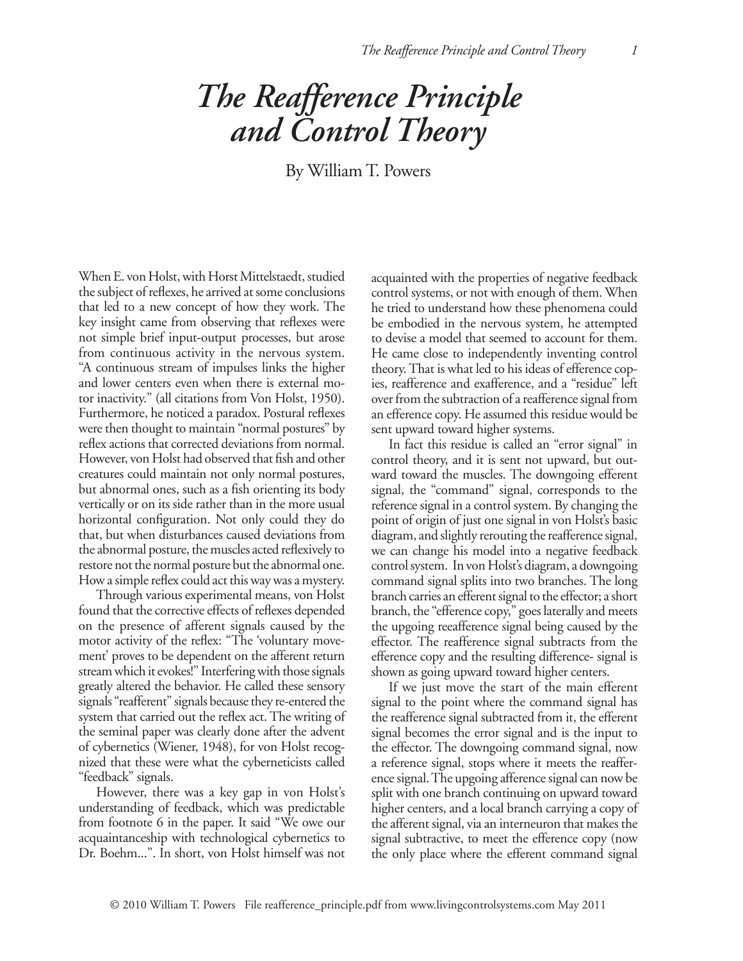## *The Reafference Principle and Control Theory*

By William T. Powers

When E. von Holst, with Horst Mittelstaedt, studied the subject of reflexes, he arrived at some conclusions that led to a new concept of how they work. The key insight came from observing that reflexes were not simple brief input-output processes, but arose from continuous activity in the nervous system. "A continuous stream of impulses links the higher and lower centers even when there is external motor inactivity." (all citations from Von Holst, 1950). Furthermore, he noticed a paradox. Postural reflexes were then thought to maintain "normal postures" by reflex actions that corrected deviations from normal. However, von Holst had observed that fish and other creatures could maintain not only normal postures, but abnormal ones, such as a fish orienting its body vertically or on its side rather than in the more usual horizontal configuration. Not only could they do that, but when disturbances caused deviations from the abnormal posture, the muscles acted reflexively to restore not the normal posture but the abnormal one. How a simple reflex could act this way was a mystery.

Through various experimental means, von Holst found that the corrective effects of reflexes depended on the presence of afferent signals caused by the motor activity of the reflex: "The 'voluntary movement' proves to be dependent on the afferent return stream which it evokes!" Interfering with those signals greatly altered the behavior. He called these sensory signals "reafferent" signals because they re-entered the system that carried out the reflex act. The writing of the seminal paper was clearly done after the advent of cybernetics (Wiener, 1948), for von Holst recognized that these were what the cyberneticists called "feedback" signals.

However, there was a key gap in von Holst's understanding of feedback, which was predictable from footnote 6 in the paper. It said "We owe our acquaintanceship with technological cybernetics to Dr. Boehm...". In short, von Holst himself was not acquainted with the properties of negative feedback control systems, or not with enough of them. When he tried to understand how these phenomena could be embodied in the nervous system, he attempted to devise a model that seemed to account for them. He came close to independently inventing control theory. That is what led to his ideas of efference copies, reafference and exafference, and a "residue" left over from the subtraction of a reafference signal from an efference copy. He assumed this residue would be sent upward toward higher systems.

In fact this residue is called an "error signal" in control theory, and it is sent not upward, but outward toward the muscles. The downgoing efferent signal, the "command" signal, corresponds to the reference signal in a control system. By changing the point of origin of just one signal in von Holst's basic diagram, and slightly rerouting the reafference signal, we can change his model into a negative feedback control system. In von Holst's diagram, a downgoing command signal splits into two branches. The long branch carries an efferent signal to the effector; a short branch, the "efference copy," goes laterally and meets the upgoing reeafference signal being caused by the effector. The reafference signal subtracts from the efference copy and the resulting difference- signal is shown as going upward toward higher centers.

If we just move the start of the main efferent signal to the point where the command signal has the reafference signal subtracted from it, the efferent signal becomes the error signal and is the input to the effector. The downgoing command signal, now a reference signal, stops where it meets the reafference signal. The upgoing afference signal can now be split with one branch continuing on upward toward higher centers, and a local branch carrying a copy of the afferent signal, via an interneuron that makes the signal subtractive, to meet the efference copy (now the only place where the efferent command signal

© 2010 William T. Powers File reafference\_principle.pdf from www.livingcontrolsystems.com May 2011